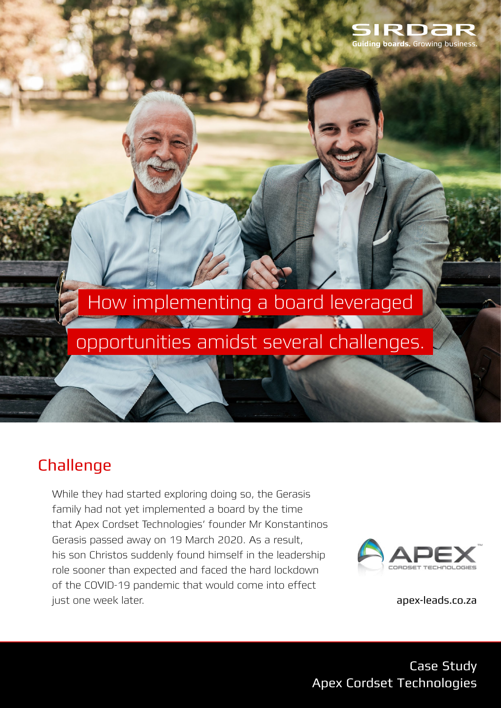

# How implementing a board leveraged

## opportunities amidst several challenges.

#### **Challenge**

While they had started exploring doing so, the Gerasis family had not yet implemented a board by the time that Apex Cordset Technologies' founder Mr Konstantinos Gerasis passed away on 19 March 2020. As a result, his son Christos suddenly found himself in the leadership role sooner than expected and faced the hard lockdown of the COVID-19 pandemic that would come into effect just one week later.



[apex-leads.co.za](https://www.apex-leads.co.za/)

Case Study Apex Cordset Technologies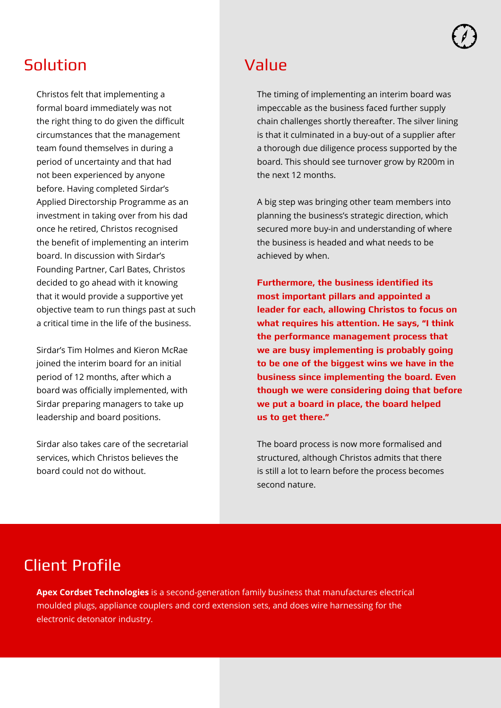#### Solution

Christos felt that implementing a formal board immediately was not the right thing to do given the difficult circumstances that the management team found themselves in during a period of uncertainty and that had not been experienced by anyone before. Having completed Sirdar's Applied Directorship Programme as an investment in taking over from his dad once he retired, Christos recognised the benefit of implementing an interim board. In discussion with Sirdar's Founding Partner, Carl Bates, Christos decided to go ahead with it knowing that it would provide a supportive yet objective team to run things past at such a critical time in the life of the business.

Sirdar's Tim Holmes and Kieron McRae joined the interim board for an initial period of 12 months, after which a board was officially implemented, with Sirdar preparing managers to take up leadership and board positions.

Sirdar also takes care of the secretarial services, which Christos believes the board could not do without.

### Value

The timing of implementing an interim board was impeccable as the business faced further supply chain challenges shortly thereafter. The silver lining is that it culminated in a buy-out of a supplier after a thorough due diligence process supported by the board. This should see turnover grow by R200m in the next 12 months.

A big step was bringing other team members into planning the business's strategic direction, which secured more buy-in and understanding of where the business is headed and what needs to be achieved by when.

**Furthermore, the business identified its most important pillars and appointed a leader for each, allowing Christos to focus on what requires his attention. He says, "I think the performance management process that we are busy implementing is probably going to be one of the biggest wins we have in the business since implementing the board. Even though we were considering doing that before we put a board in place, the board helped us to get there."**

The board process is now more formalised and structured, although Christos admits that there is still a lot to learn before the process becomes second nature.

#### Client Profile

**Apex Cordset Technologies** is a second-generation family business that manufactures electrical moulded plugs, appliance couplers and cord extension sets, and does wire harnessing for the electronic detonator industry.